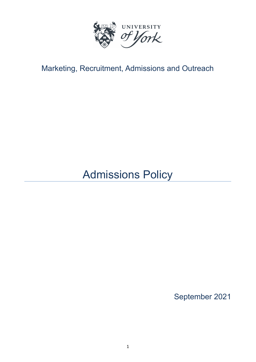

## Marketing, Recruitment, Admissions and Outreach

# Admissions Policy

September 2021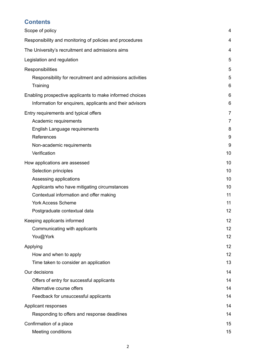### **Contents**

| Scope of policy                                          | 4              |
|----------------------------------------------------------|----------------|
| Responsibility and monitoring of policies and procedures | 4              |
| The University's recruitment and admissions aims         | 4              |
| Legislation and regulation                               | 5              |
| Responsibilities                                         | 5              |
| Responsibility for recruitment and admissions activities | 5              |
| Training                                                 | 6              |
| Enabling prospective applicants to make informed choices | 6              |
| Information for enquirers, applicants and their advisors | 6              |
| Entry requirements and typical offers                    | $\overline{7}$ |
| Academic requirements                                    | $\overline{7}$ |
| English Language requirements                            | 8              |
| References                                               | 9              |
| Non-academic requirements                                | 9              |
| Verification                                             | 10             |
| How applications are assessed                            | 10             |
| Selection principles                                     | 10             |
| Assessing applications                                   | 10             |
| Applicants who have mitigating circumstances             | 10             |
| Contextual information and offer making                  | 11             |
| <b>York Access Scheme</b>                                | 11             |
| Postgraduate contextual data                             | 12             |
| Keeping applicants informed                              | 12             |
| Communicating with applicants                            | 12             |
| You@York                                                 | 12             |
| Applying                                                 | 12             |
| How and when to apply                                    | 12             |
| Time taken to consider an application                    | 13             |
| Our decisions                                            | 14             |
| Offers of entry for successful applicants                | 14             |
| Alternative course offers                                | 14             |
| Feedback for unsuccessful applicants                     | 14             |
| Applicant responses                                      | 14             |
| Responding to offers and response deadlines              | 14             |
| Confirmation of a place                                  | 15             |
| Meeting conditions                                       | 15             |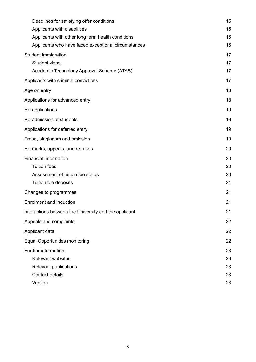| Deadlines for satisfying offer conditions             | 15 |
|-------------------------------------------------------|----|
| Applicants with disabilities                          | 15 |
| Applicants with other long term health conditions     | 16 |
| Applicants who have faced exceptional circumstances   | 16 |
| Student immigration                                   | 17 |
| Student visas                                         | 17 |
| Academic Technology Approval Scheme (ATAS)            | 17 |
| Applicants with criminal convictions                  | 17 |
| Age on entry                                          | 18 |
| Applications for advanced entry                       | 18 |
| Re-applications                                       | 19 |
| Re-admission of students                              | 19 |
| Applications for deferred entry                       | 19 |
| Fraud, plagiarism and omission                        | 19 |
| Re-marks, appeals, and re-takes                       | 20 |
| <b>Financial information</b>                          | 20 |
| <b>Tuition fees</b>                                   | 20 |
| Assessment of tuition fee status                      | 20 |
| Tuition fee deposits                                  | 21 |
| Changes to programmes                                 | 21 |
| <b>Enrolment and induction</b>                        | 21 |
| Interactions between the University and the applicant | 21 |
| Appeals and complaints                                | 22 |
| Applicant data                                        | 22 |
| <b>Equal Opportunities monitoring</b>                 | 22 |
| Further information                                   | 23 |
| <b>Relevant websites</b>                              | 23 |
| Relevant publications                                 | 23 |
| Contact details                                       | 23 |
| Version                                               | 23 |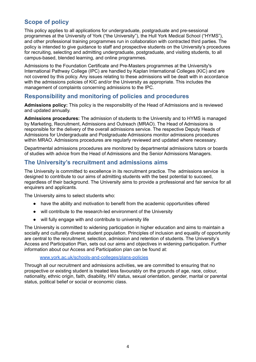### <span id="page-3-0"></span>**Scope of policy**

This policy applies to all applications for undergraduate, postgraduate and pre-sessional programmes at the University of York ("the University"), the Hull York Medical School ("HYMS"), and other professional training programmes run in collaboration with contracted third parties. The policy is intended to give guidance to staff and prospective students on the University's procedures for recruiting, selecting and admitting undergraduate, postgraduate, and visiting students, to all campus-based, blended learning, and online programmes.

Admissions to the Foundation Certificate and Pre-Masters programmes at the University's International Pathway College (IPC) are handled by Kaplan International Colleges (KIC) and are not covered by this policy. Any issues relating to these admissions will be dealt with in accordance with the admissions policies of KIC and/or the University as appropriate. This includes the management of complaints concerning admissions to the IPC.

### <span id="page-3-1"></span>**Responsibility and monitoring of policies and procedures**

**Admissions policy:** This policy is the responsibility of the Head of Admissions and is reviewed and updated annually.

**Admissions procedures:** The admission of students to the University and to HYMS is managed by Marketing, Recruitment, Admissions and Outreach (MRAO). The Head of Admissions is responsible for the delivery of the overall admissions service. The respective Deputy Heads of Admissions for Undergraduate and Postgraduate Admissions monitor admissions procedures within MRAO. Admissions procedures are regularly reviewed and updated where necessary.

Departmental admissions procedures are monitored by departmental admissions tutors or boards of studies with advice from the Head of Admissions and the Senior Admissions Managers.

### <span id="page-3-2"></span>**The University's recruitment and admissions aims**

The University is committed to excellence in its recruitment practice. The admissions service is designed to contribute to our aims of admitting students with the best potential to succeed, regardless of their background. The University aims to provide a professional and fair service for all enquirers and applicants.

The University aims to select students who:

- have the ability and motivation to benefit from the academic opportunities offered
- will contribute to the research-led environment of the University
- will fully engage with and contribute to university life

The University is committed to widening participation in higher education and aims to maintain a socially and culturally diverse student population. Principles of inclusion and equality of opportunity are central to the recruitment, selection, admission and retention of students. The University's Access and Participation Plan, sets out our aims and objectives in widening participation. Further information about our Access and Participation plan can be found at:

#### [www.york.ac.uk/schools-and-colleges/plans-policies](http://www.york.ac.uk/schools-and-colleges/plans-policies)

Through all our recruitment and admissions activities, we are committed to ensuring that no prospective or existing student is treated less favourably on the grounds of age, race, colour, nationality, ethnic origin, faith, disability, HIV status, sexual orientation, gender, marital or parental status, political belief or social or economic class.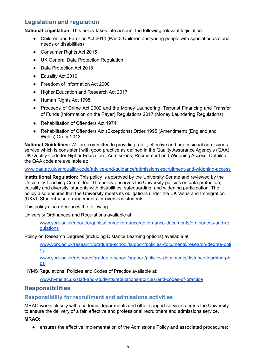### <span id="page-4-0"></span>**Legislation and regulation**

**National Legislation:** This policy takes into account the following relevant legislation:

- Children and Families Act 2014 (Part 3 Children and young people with special educational needs or disabilities)
- Consumer Rights Act 2015
- UK General Data Protection Regulation
- Data Protection Act 2018
- Equality Act 2010
- Freedom of Information Act 2000
- Higher Education and Research Act 2017
- Human Rights Act 1998
- Proceeds of Crime Act 2002 and the Money Laundering, Terrorist Financing and Transfer of Funds (Information on the Payer) Regulations 2017 (Money Laundering Regulations)
- Rehabilitation of Offenders Act 1974
- Rehabilitation of Offenders Act (Exceptions) Order 1995 (Amendment) (England and Wales) Order 2013

**National Guidelines:** We are committed to providing a fair, effective and professional admissions service which is consistent with good practice as defined in the Quality Assurance Agency's (QAA) UK Quality Code for Higher Education - Admissions, Recruitment and Widening Access. Details of the QAA code are available at:

[www.qaa.ac.uk/en/quality-code/advice-and-guidance/admissions-recruitment-and-widening-access](http://www.qaa.ac.uk/en/quality-code/advice-and-guidance/admissions-recruitment-and-widening-access)

**Institutional Regulation:** This policy is approved by the University Senate and reviewed by the University Teaching Committee. The policy observes the University policies on data protection, equality and diversity, students with disabilities, safeguarding, and widening participation. The policy also ensures that the University meets its obligations under the UK Visas and Immigration (UKVI) Student Visa arrangements for overseas students.

This policy also references the following:

University Ordinances and Regulations available at:

[www.york.ac.uk/about/organisation/governance/governance-documents/ordinances-and-re](http://www.york.ac.uk/about/organisation/governance/governance-documents/ordinances-and-regulations) [gulations](http://www.york.ac.uk/about/organisation/governance/governance-documents/ordinances-and-regulations)

Policy on Research Degrees (including Distance Learning options) available at:

[www.york.ac.uk/research/graduate-school/support/policies-documents/research-degree-poli](http://www.york.ac.uk/research/graduate-school/support/policies-documents/research-degree-policy) [cy](http://www.york.ac.uk/research/graduate-school/support/policies-documents/research-degree-policy)

[www.york.ac.uk/research/graduate-school/support/policies-documents/distance-learning-ph](http://www.york.ac.uk/research/graduate-school/support/policies-documents/distance-learning-phds) [ds](http://www.york.ac.uk/research/graduate-school/support/policies-documents/distance-learning-phds)

HYMS Regulations, Policies and Codes of Practice available at:

[www.hyms.ac.uk/staff-and-students/regulations-policies-and-codes-of-practice](http://www.hyms.ac.uk/staff-and-students/regulations-policies-and-codes-of-practice)

### <span id="page-4-1"></span>**Responsibilities**

### <span id="page-4-2"></span>**Responsibility for recruitment and admissions activities**

MRAO works closely with academic departments and other support services across the University to ensure the delivery of a fair, effective and professional recruitment and admissions service.

**MRAO:**

**●** ensures the effective implementation of the Admissions Policy and associated procedures;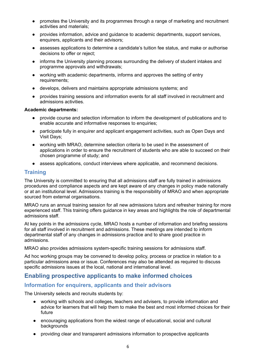- promotes the University and its programmes through a range of marketing and recruitment activities and materials;
- provides information, advice and guidance to academic departments, support services, enquirers, applicants and their advisors;
- assesses applications to determine a candidate's tuition fee status, and make or authorise decisions to offer or reject;
- informs the University planning process surrounding the delivery of student intakes and programme approvals and withdrawals;
- working with academic departments, informs and approves the setting of entry requirements;
- develops, delivers and maintains appropriate admissions systems; and
- provides training sessions and information events for all staff involved in recruitment and admissions activities.

#### **Academic departments:**

- **●** provide course and selection information to inform the development of publications and to enable accurate and informative responses to enquiries;
- **●** participate fully in enquirer and applicant engagement activities, such as Open Days and Visit Days;
- **●** working with MRAO, determine selection criteria to be used in the assessment of applications in order to ensure the recruitment of students who are able to succeed on their chosen programme of study; and
- **●** assess applications, conduct interviews where applicable, and recommend decisions.

### <span id="page-5-0"></span>**Training**

The University is committed to ensuring that all admissions staff are fully trained in admissions procedures and compliance aspects and are kept aware of any changes in policy made nationally or at an institutional level. Admissions training is the responsibility of MRAO and when appropriate sourced from external organisations.

MRAO runs an annual training session for all new admissions tutors and refresher training for more experienced staff. This training offers guidance in key areas and highlights the role of departmental admissions staff.

At key points in the admissions cycle, MRAO hosts a number of information and briefing sessions for all staff involved in recruitment and admissions. These meetings are intended to inform departmental staff of any changes in admissions practice and to share good practice in admissions.

MRAO also provides admissions system-specific training sessions for admissions staff.

Ad hoc working groups may be convened to develop policy, process or practice in relation to a particular admissions area or issue. Conferences may also be attended as required to discuss specific admissions issues at the local, national and international level.

### <span id="page-5-1"></span>**Enabling prospective applicants to make informed choices**

### <span id="page-5-2"></span>**Information for enquirers, applicants and their advisors**

The University selects and recruits students by:

- working with schools and colleges, teachers and advisers, to provide information and advice for learners that will help them to make the best and most informed choices for their future
- encouraging applications from the widest range of educational, social and cultural backgrounds
- providing clear and transparent admissions information to prospective applicants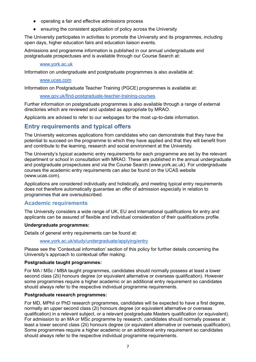- operating a fair and effective admissions process
- ensuring the consistent application of policy across the University

The University participates in activities to promote the University and its programmes, including open days, higher education fairs and education liaison events.

Admissions and programme information is published in our annual undergraduate and postgraduate prospectuses and is available through our Course Search at:

#### [www.york.ac.uk](http://www.york.ac.uk)

Information on undergraduate and postgraduate programmes is also available at:

#### [www.ucas.com](http://www.ucas.com)

Information on Postgraduate Teacher Training (PGCE) programmes is available at:

#### [www.gov.uk/find-postgraduate-teacher-training-courses](http://www.gov.uk/find-postgraduate-teacher-training-courses)

Further information on postgraduate programmes is also available through a range of external directories which are reviewed and updated as appropriate by MRAO.

Applicants are advised to refer to our webpages for the most up-to-date information.

### <span id="page-6-0"></span>**Entry requirements and typical offers**

The University welcomes applications from candidates who can demonstrate that they have the potential to succeed on the programme to which they have applied and that they will benefit from and contribute to the learning, research and social environment at the University.

The University's typical academic entry requirements for each programme are set by the relevant department or school in consultation with MRAO. These are published in the annual undergraduate and postgraduate prospectuses and via the Course Search (www.york.ac.uk). For undergraduate courses the academic entry requirements can also be found on the UCAS website (www.ucas.com).

Applications are considered individually and holistically, and meeting typical entry requirements does not therefore automatically guarantee an offer of admission especially in relation to programmes that are oversubscribed.

### <span id="page-6-1"></span>**Academic requirements**

The University considers a wide range of UK, EU and international qualifications for entry and applicants can be assured of flexible and individual consideration of their qualifications profile.

#### **Undergraduate programmes:**

Details of general entry requirements can be found at:

[www.york.ac.uk/study/undergraduate/applying/entry](http://www.york.ac.uk/study/undergraduate/applying/entry)

Please see the 'Contextual information' section of this policy for further details concerning the University's approach to contextual offer making.

#### **Postgraduate taught programmes:**

For MA / MSc / MBA taught programmes, candidates should normally possess at least a lower second class (2ii) honours degree (or equivalent alternative or overseas qualification). However some programmes require a higher academic or an additional entry requirement so candidates should always refer to the respective individual programme requirements.

#### **Postgraduate research programmes:**

For MD, MPhil or PhD research programmes, candidates will be expected to have a first degree, normally an upper second class (2i) honours degree (or equivalent alternative or overseas qualification) in a relevant subject, or a relevant postgraduate Masters qualification (or equivalent). For admission to an MA or MSc programme by research, candidates should normally possess at least a lower second class (2ii) honours degree (or equivalent alternative or overseas qualification). Some programmes require a higher academic or an additional entry requirement so candidates should always refer to the respective individual programme requirements.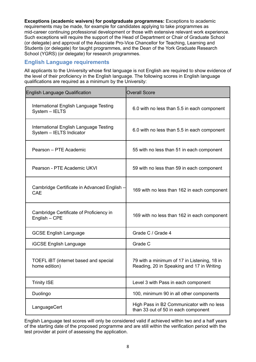**Exceptions (academic waivers) for postgraduate programmes:** Exceptions to academic requirements may be made, for example for candidates applying to take programmes as mid-career continuing professional development or those with extensive relevant work experience. Such exceptions will require the support of the Head of Department or Chair of Graduate School (or delegate) and approval of the Associate Pro-Vice Chancellor for Teaching, Learning and Students (or delegate) for taught programmes, and the Dean of the York Graduate Research School (YGRS) (or delegate) for research programmes.

### <span id="page-7-0"></span>**English Language requirements**

All applicants to the University whose first language is not English are required to show evidence of the level of their proficiency in the English language. The following scores in English language qualifications are required as a minimum by the University:

| <b>English Language Qualification</b>                              | <b>Overall Score</b>                                                                     |
|--------------------------------------------------------------------|------------------------------------------------------------------------------------------|
| International English Language Testing<br>System - IELTS           | 6.0 with no less than 5.5 in each component                                              |
| International English Language Testing<br>System - IELTS Indicator | 6.0 with no less than 5.5 in each component                                              |
| Pearson - PTE Academic                                             | 55 with no less than 51 in each component                                                |
| Pearson - PTE Academic UKVI                                        | 59 with no less than 59 in each component                                                |
| Cambridge Certificate in Advanced English -<br>CAE                 | 169 with no less than 162 in each component                                              |
| Cambridge Certificate of Proficiency in<br>English - CPE           | 169 with no less than 162 in each component                                              |
| <b>GCSE English Language</b>                                       | Grade C / Grade 4                                                                        |
| <b>iGCSE English Language</b>                                      | Grade C                                                                                  |
| TOEFL IBT (internet based and special<br>home edition)             | 79 with a minimum of 17 in Listening, 18 in<br>Reading, 20 in Speaking and 17 in Writing |
| <b>Trinity ISE</b>                                                 | Level 3 with Pass in each component                                                      |
| Duolingo                                                           | 100, minimum 90 in all other components                                                  |
| LanguageCert                                                       | High Pass in B2 Communicator with no less<br>than 33 out of 50 in each component         |

English Language test scores will only be considered valid if achieved within two and a half years of the starting date of the proposed programme and are still within the verification period with the test provider at point of assessing the application.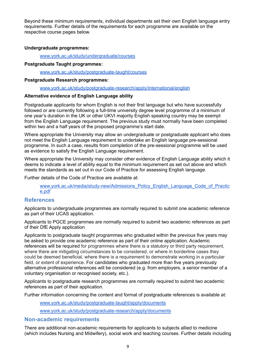Beyond these minimum requirements, individual departments set their own English language entry requirements. Further details of the requirements for each programme are available on the respective course pages below.

#### **Undergraduate programmes:**

[www.york.ac.uk/study/undergraduate/courses](http://www.york.ac.uk/study/undergraduate/courses)

#### **Postgraduate Taught programmes:**

[www.york.ac.uk/study/postgraduate-taught/courses](http://www.york.ac.uk/study/postgraduate-taught/courses)

#### **Postgraduate Research programmes:**

[www.york.ac.uk/study/postgraduate-research/apply/international/english](http://www.york.ac.uk/study/postgraduate-research/apply/international/english)

#### **Alternative evidence of English Language ability**

Postgraduate applicants for whom English is not their first language but who have successfully followed or are currently following a full-time university degree level programme of a minimum of one year's duration in the UK or other UKVI majority English speaking country may be exempt from the English Language requirement. The previous study must normally have been completed within two and a half years of the proposed programme's start date.

Where appropriate the University may allow an undergraduate or postgraduate applicant who does not meet the English Language requirement to undertake an English language pre-sessional programme. In such a case, results from completion of the pre-sessional programme will be used as evidence to satisfy the English Language requirement.

Where appropriate the University may consider other evidence of English Language ability which it deems to indicate a level of ability equal to the minimum requirement as set out above and which meets the standards as set out in our Code of Practice for assessing English language.

Further details of the Code of Practice are available at:

[www.york.ac.uk/media/study-new/Admissions\\_Policy\\_English\\_Language\\_Code\\_of\\_Practic](http://www.york.ac.uk/media/study-new/Admissions_Policy_English_Language_Code_of_Practice.pdf) [e.pdf](http://www.york.ac.uk/media/study-new/Admissions_Policy_English_Language_Code_of_Practice.pdf)

### <span id="page-8-0"></span>**References**

Applicants to undergraduate programmes are normally required to submit one academic reference as part of their UCAS application.

Applicants to PGCE programmes are normally required to submit two academic references as part of their DfE Apply application

Applicants to postgraduate taught programmes who graduated within the previous five years may be asked to provide one academic reference as part of their online application. Academic references will be required for programmes where there is a statutory or third party requirement, where there are mitigating circumstances to be considered, or where in borderline cases they could be deemed beneficial, where there is a requirement to demonstrate working in a particular field, or extent of experience. For candidates who graduated more than five years previously alternative professional references will be considered (e.g. from employers, a senior member of a voluntary organisation or recognised society, etc.).

Applicants to postgraduate research programmes are normally required to submit two academic references as part of their application.

Further information concerning the content and format of postgraduate references is available at:

[www.york.ac.uk/study/postgraduate-taught/apply/documents](http://www.york.ac.uk/study/postgraduate-taught/apply/documents)

[www.york.ac.uk/study/postgraduate-research/apply/documents](http://www.york.ac.uk/study/postgraduate-research/apply/documents)

### <span id="page-8-1"></span>**Non-academic requirements**

There are additional non-academic requirements for applicants to subjects allied to medicine (which includes Nursing and Midwifery), social work and teaching courses. Further details including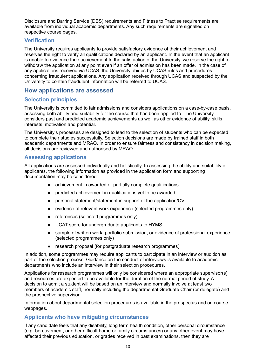Disclosure and Barring Service (DBS) requirements and Fitness to Practise requirements are available from individual academic departments. Any such requirements are signalled on respective course pages.

### <span id="page-9-0"></span>**Verification**

The University requires applicants to provide satisfactory evidence of their achievement and reserves the right to verify all qualifications declared by an applicant. In the event that an applicant is unable to evidence their achievement to the satisfaction of the University, we reserve the right to withdraw the application at any point even if an offer of admission has been made. In the case of any applications received via UCAS, the University abides by UCAS rules and procedures concerning fraudulent applications. Any application received through UCAS and suspected by the University to contain fraudulent information will be referred to UCAS.

### <span id="page-9-1"></span>**How applications are assessed**

### <span id="page-9-2"></span>**Selection principles**

The University is committed to fair admissions and considers applications on a case-by-case basis, assessing both ability and suitability for the course that has been applied to. The University considers past and predicted academic achievements as well as other evidence of ability, skills, interests, motivation and potential.

The University's processes are designed to lead to the selection of students who can be expected to complete their studies successfully. Selection decisions are made by trained staff in both academic departments and MRAO. In order to ensure fairness and consistency in decision making, all decisions are reviewed and authorised by MRAO.

### <span id="page-9-3"></span>**Assessing applications**

All applications are assessed individually and holistically. In assessing the ability and suitability of applicants, the following information as provided in the application form and supporting documentation may be considered:

- achievement in awarded or partially complete qualifications
- predicted achievement in qualifications yet to be awarded
- personal statement/statement in support of the application/CV
- evidence of relevant work experience (selected programmes only)
- references (selected programmes only)
- UCAT score for undergraduate applicants to HYMS
- sample of written work, portfolio submission, or evidence of professional experience (selected programmes only)
- research proposal (for postgraduate research programmes)

In addition, some programmes may require applicants to participate in an interview or audition as part of the selection process. Guidance on the conduct of interviews is available to academic departments who include an interview in their selection procedures.

Applications for research programmes will only be considered where an appropriate supervisor(s) and resources are expected to be available for the duration of the normal period of study. A decision to admit a student will be based on an interview and normally involve at least two members of academic staff, normally including the departmental Graduate Chair (or delegate) and the prospective supervisor.

Information about departmental selection procedures is available in the prospectus and on course webpages.

### <span id="page-9-4"></span>**Applicants who have mitigating circumstances**

If any candidate feels that any disability, long term health condition, other personal circumstance (e.g. bereavement, or other difficult home or family circumstances) or any other event may have affected their previous education, or grades received in past examinations, then they are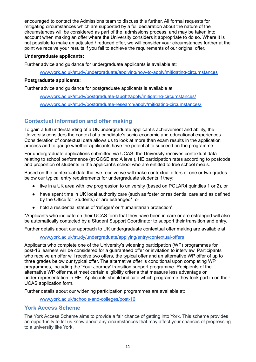encouraged to contact the Admissions team to discuss this further. All formal requests for mitigating circumstances which are supported by a full declaration about the nature of the circumstances will be considered as part of the admissions process, and may be taken into account when making an offer where the University considers it appropriate to do so. Where it is not possible to make an adjusted / reduced offer, we will consider your circumstances further at the point we receive your results if you fail to achieve the requirements of our original offer.

#### **Undergraduate applicants:**

Further advice and guidance for undergraduate applicants is available at:

[www.york.ac.uk/study/undergraduate/applying/how-to-apply/mitigating-circumstances](http://www.york.ac.uk/study/undergraduate/applying/how-to-apply/mitigating-circumstances)

### **Postgraduate applicants:**

Further advice and guidance for postgraduate applicants is available at:

[www.york.ac.uk/study/postgraduate-taught/apply/mitigating-circumstances/](http://www.york.ac.uk/study/postgraduate-taught/apply/mitigating-circumstances/) [www.york.ac.uk/study/postgraduate-research/apply/mitigating-circumstances/](http://www.york.ac.uk/study/postgraduate-research/apply/mitigating-circumstances/)

### <span id="page-10-0"></span>**Contextual information and offer making**

To gain a full understanding of a UK undergraduate applicant's achievement and ability, the University considers the context of a candidate's socio-economic and educational experiences. Consideration of contextual data allows us to look at more than exam results in the application process and to gauge whether applicants have the potential to succeed on the programme.

For undergraduate applications submitted via UCAS, the University receives contextual data relating to school performance (at GCSE and A level), HE participation rates according to postcode and proportion of students in the applicant's school who are entitled to free school meals.

Based on the contextual data that we receive we will make contextual offers of one or two grades below our typical entry requirements for undergraduate students if they:

- live in a UK area with low progression to university (based on POLAR4 quintiles 1 or 2), or
- have spent time in UK local authority care (such as foster or residential care and as defined by the Office for Students) or are estranged\*, or
- hold a residential status of 'refugee' or 'humanitarian protection'.

\*Applicants who indicate on their UCAS form that they have been in care or are estranged will also be automatically contacted by a Student Support Coordinator to support their transition and entry.

Further details about our approach to UK undergraduate contextual offer making are available at:

[www.york.ac.uk/study/undergraduate/applying/entry/contextual-offers](http://www.york.ac.uk/study/undergraduate/applying/entry/contextual-offers)

Applicants who complete one of the University's widening participation (WP) programmes for post-16 learners will be considered for a guaranteed offer or invitation to interview. Participants who receive an offer will receive two offers, the typical offer and an alternative WP offer of up to three grades below our typical offer. The alternative offer is conditional upon completing WP programmes, including the 'Your Journey' transition support programme. Recipients of the alternative WP offer must meet certain eligibility criteria that measure less advantage or under-representation in HE. Applicants should indicate which programme they took part in on their UCAS application form.

Further details about our widening participation programmes are available at:

[www.york.ac.uk/schools-and-colleges/post-16](http://www.york.ac.uk/schools-and-colleges/post-16)

### <span id="page-10-1"></span>**York Access Scheme**

The York Access Scheme aims to provide a fair chance of getting into York. This scheme provides an opportunity to let us know about any circumstances that may affect your chances of progressing to a university like York.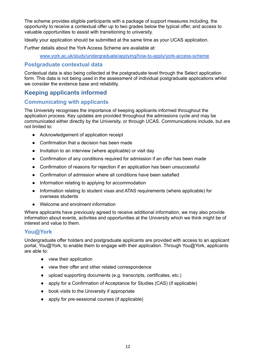The scheme provides eligible participants with a package of support measures including, the opportunity to receive a contextual offer up to two grades below the typical offer, and access to valuable opportunities to assist with transitioning to university.

Ideally your application should be submitted at the same time as your UCAS application.

Further details about the York Access Scheme are available at:

[www.york.ac.uk/study/undergraduate/applying/how-to-apply/york-access-scheme](http://www.york.ac.uk/study/undergraduate/applying/how-to-apply/york-access-scheme)

### <span id="page-11-0"></span>**Postgraduate contextual data**

Contextual data is also being collected at the postgraduate level through the Select application form. This data is not being used in the assessment of individual postgraduate applications whilst we consider the evidence base and reliability.

### <span id="page-11-1"></span>**Keeping applicants informed**

### <span id="page-11-2"></span>**Communicating with applicants**

The University recognises the importance of keeping applicants informed throughout the application process. Key updates are provided throughout the admissions cycle and may be communicated either directly by the University, or through UCAS. Communications include, but are not limited to:

- Acknowledgement of application receipt
- Confirmation that a decision has been made
- Invitation to an interview (where applicable) or visit day
- Confirmation of any conditions required for admission if an offer has been made
- Confirmation of reasons for rejection if an application has been unsuccessful
- Confirmation of admission where all conditions have been satisfied
- Information relating to applying for accommodation
- Information relating to student visas and ATAS requirements (where applicable) for overseas students
- Welcome and enrolment information

Where applicants have previously agreed to receive additional information, we may also provide information about events, activities and opportunities at the University which we think might be of interest and value to them.

### <span id="page-11-3"></span>**You@York**

Undergraduate offer holders and postgraduate applicants are provided with access to an applicant portal, You@York, to enable them to engage with their application. Through You@York, applicants are able to:

- view their application
- view their offer and other related correspondence
- upload supporting documents (e.g. transcripts, certificates, etc.)
- apply for a Confirmation of Acceptance for Studies (CAS) (if applicable)
- book visits to the University if appropriate
- <span id="page-11-4"></span>● apply for pre-sessional courses (if applicable)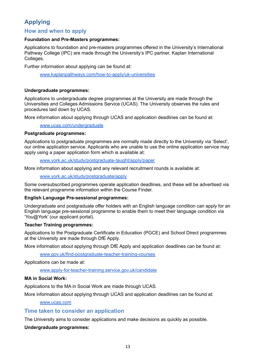### **Applying**

### <span id="page-12-0"></span>**How and when to apply**

#### **Foundation and Pre-Masters programmes:**

Applications to foundation and pre-masters programmes offered in the University's International Pathway College (IPC) are made through the University's IPC partner, Kaplan International Colleges.

Further information about applying can be found at:

[www.kaplanpathways.com/how-to-apply/uk-universities](http://www.kaplanpathways.com/how-to-apply/uk-universities)

#### **Undergraduate programmes:**

Applications to undergraduate degree programmes at the University are made through the Universities and Colleges Admissions Service (UCAS). The University observes the rules and procedures laid down by UCAS.

More information about applying through UCAS and application deadlines can be found at:

#### [www.ucas.com/undergraduate](http://www.ucas.com/undergraduate)

### **Postgraduate programmes:**

Applications to postgraduate programmes are normally made directly to the University via 'Select', our online application service. Applicants who are unable to use the online application service may apply using a paper application form which is available at:

[www.york.ac.uk/study/postgraduate-taught/apply/paper](http://www.york.ac.uk/study/postgraduate-taught/apply/paper)

More information about applying and any relevant recruitment rounds is available at:

[www.york.ac.uk/study/postgraduate/apply](http://www.york.ac.uk/study/postgraduate/apply)

Some oversubscribed programmes operate application deadlines, and these will be advertised via the relevant programme information within the Course Finder.

#### **English Language Pre-sessional programmes:**

Undergraduate and postgraduate offer holders with an English language condition can apply for an English language pre-sessional programme to enable them to meet their language condition via 'You@York' (our applicant portal).

#### **Teacher Training programmes:**

Applications to the Postgraduate Certificate in Education (PGCE) and School Direct programmes at the University are made through DfE Apply.

More information about applying through DfE Apply and application deadlines can be found at:

[www.gov.uk/find-postgraduate-teacher-training-courses](http://www.gov.uk/find-postgraduate-teacher-training-courses)

Applications can be made at:

[www.apply-for-teacher-training.service.gov.uk/candidate](http://www.apply-for-teacher-training.service.gov.uk/candidate)

### **MA in Social Work:**

Applications to the MA in Social Work are made through UCAS.

More information about applying through UCAS and application deadlines can be found at:

#### [www.ucas.com](http://www.ucas.com)

### <span id="page-12-1"></span>**Time taken to consider an application**

The University aims to consider applications and make decisions as quickly as possible.

### **Undergraduate programmes:**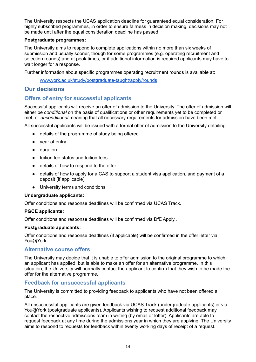The University respects the UCAS application deadline for guaranteed equal consideration. For highly subscribed programmes, in order to ensure fairness in decision making, decisions may not be made until after the equal consideration deadline has passed.

#### **Postgraduate programmes:**

The University aims to respond to complete applications within no more than six weeks of submission and usually sooner, though for some programmes (e.g. operating recruitment and selection rounds) and at peak times, or if additional information is required applicants may have to wait longer for a response.

Further information about specific programmes operating recruitment rounds is available at:

[www.york.ac.uk/study/postgraduate-taught/apply/rounds](http://www.york.ac.uk/study/postgraduate-taught/apply/rounds)

### <span id="page-13-0"></span>**Our decisions**

### <span id="page-13-1"></span>**Offers of entry for successful applicants**

Successful applicants will receive an offer of admission to the University. The offer of admission will either be *conditional* on the basis of qualifications or other requirements yet to be completed or met, or *unconditional* meaning that all necessary requirements for admission have been met.

All successful applicants will be issued with a formal offer of admission to the University detailing:

- details of the programme of study being offered
- year of entry
- duration
- tuition fee status and tuition fees
- details of how to respond to the offer
- details of how to apply for a CAS to support a student visa application, and payment of a deposit (if applicable)
- University terms and conditions

#### **Undergraduate applicants:**

Offer conditions and response deadlines will be confirmed via UCAS Track.

#### **PGCE applicants:**

Offer conditions and response deadlines will be confirmed via DfE Apply..

#### **Postgraduate applicants:**

Offer conditions and response deadlines (if applicable) will be confirmed in the offer letter via You@York.

#### <span id="page-13-2"></span>**Alternative course offers**

The University may decide that it is unable to offer admission to the original programme to which an applicant has applied, but is able to make an offer for an alternative programme. In this situation, the University will normally contact the applicant to confirm that they wish to be made the offer for the alternative programme.

### <span id="page-13-3"></span>**Feedback for unsuccessful applicants**

The University is committed to providing feedback to applicants who have not been offered a place.

All unsuccessful applicants are given feedback via UCAS Track (undergraduate applicants) or via You@York (postgraduate applicants). Applicants wishing to request additional feedback may contact the respective admissions team in writing (by email or letter). Applicants are able to request feedback at any time during the admissions year in which they are applying. The University aims to respond to requests for feedback within twenty working days of receipt of a request.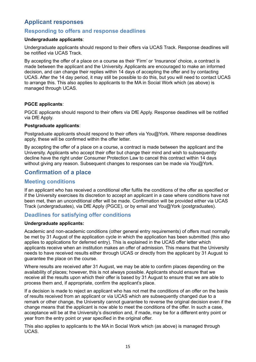### <span id="page-14-0"></span>**Applicant responses**

### <span id="page-14-1"></span>**Responding to offers and response deadlines**

#### **Undergraduate applicants**:

Undergraduate applicants should respond to their offers via UCAS Track. Response deadlines will be notified via UCAS Track.

By accepting the offer of a place on a course as their 'Firm' or 'Insurance' choice, a contract is made between the applicant and the University. Applicants are encouraged to make an informed decision, and can change their replies within 14 days of accepting the offer and by contacting UCAS. After the 14 day period, it may still be possible to do this, but you will need to contact UCAS to arrange this. This also applies to applicants to the MA in Social Work which (as above) is managed through UCAS.

### **PGCE applicants**:

PGCE applicants should respond to their offers via DfE Apply. Response deadlines will be notified via DfE Apply.

#### **Postgraduate applicants**:

Postgraduate applicants should respond to their offers via You@York. Where response deadlines apply, these will be confirmed within the offer letter.

By accepting the offer of a place on a course, a contract is made between the applicant and the University. Applicants who accept their offer but change their mind and wish to subsequently decline have the right under Consumer Protection Law to cancel this contract within 14 days without giving any reason. Subsequent changes to responses can be made via You@York.

### <span id="page-14-2"></span>**Confirmation of a place**

### <span id="page-14-3"></span>**Meeting conditions**

If an applicant who has received a conditional offer fulfils the conditions of the offer as specified or if the University exercises its discretion to accept an applicant in a case where conditions have not been met, then an unconditional offer will be made. Confirmation will be provided either via UCAS Track (undergraduates), via DfE Apply (PGCE), or by email and You@York (postgraduates).

### <span id="page-14-4"></span>**Deadlines for satisfying offer conditions**

#### **Undergraduate applicants:**

Academic and non-academic conditions (other general entry requirements) of offers must normally be met by 31 August of the application cycle in which the application has been submitted (this also applies to applications for deferred entry). This is explained in the UCAS offer letter which applicants receive when an institution makes an offer of admission. This means that the University needs to have received results either through UCAS or directly from the applicant by 31 August to guarantee the place on the course.

Where results are received after 31 August, we may be able to confirm places depending on the availability of places; however, this is not always possible. Applicants should ensure that we receive all the results upon which their offer is based by 31 August to ensure that we are able to process them and, if appropriate, confirm the applicant's place.

If a decision is made to reject an applicant who has not met the conditions of an offer on the basis of results received from an applicant or via UCAS which are subsequently changed due to a remark or other change, the University cannot guarantee to reverse the original decision even if the change means that the applicant is now able to meet the conditions of the offer. In such a case, acceptance will be at the University's discretion and, if made, may be for a different entry point or year from the entry point or year specified in the original offer.

This also applies to applicants to the MA in Social Work which (as above) is managed through UCAS.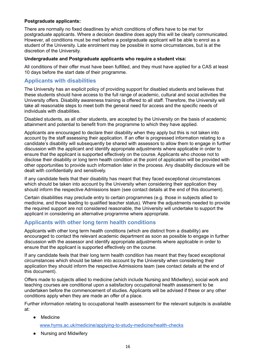### **Postgraduate applicants:**

There are normally no fixed deadlines by which conditions of offers have to be met for postgraduate applicants. Where a decision deadline does apply this will be clearly communicated. However, all conditions must be met before a postgraduate applicant will be able to enrol as a student of the University. Late enrolment may be possible in some circumstances, but is at the discretion of the University.

#### **Undergraduate and Postgraduate applicants who require a student visa:**

All conditions of their offer must have been fulfilled, and they must have applied for a CAS at least 10 days before the start date of their programme.

### <span id="page-15-0"></span>**Applicants with disabilities**

The University has an explicit policy of providing support for disabled students and believes that these students should have access to the full range of academic, cultural and social activities the University offers. Disability awareness training is offered to all staff. Therefore, the University will take all reasonable steps to meet both the general need for access and the specific needs of individuals with disabilities.

Disabled students, as all other students, are accepted by the University on the basis of academic attainment and potential to benefit from the programme to which they have applied.

Applicants are encouraged to declare their disability when they apply but this is not taken into account by the staff assessing their application. If an offer is progressed information relating to a candidate's disability will subsequently be shared with assessors to allow them to engage in further discussion with the applicant and identify appropriate adjustments where applicable in order to ensure that the applicant is supported effectively on the course. Applicants who choose not to disclose their disability or long term health condition at the point of application will be provided with other opportunities to provide such information later in the process. Any disability disclosure will be dealt with confidentially and sensitively.

If any candidate feels that their disability has meant that they faced exceptional circumstances which should be taken into account by the University when considering their application they should inform the respective Admissions team (see contact details at the end of this document).

Certain disabilities may preclude entry to certain programmes (e.g. those in subjects allied to medicine, and those leading to qualified teacher status). Where the adjustments needed to provide the required support are not considered reasonable, the University will undertake to support the applicant in considering an alternative programme where appropriate.

### <span id="page-15-1"></span>**Applicants with other long term health conditions**

Applicants with other long term health conditions (which are distinct from a disability) are encouraged to contact the relevant academic department as soon as possible to engage in further discussion with the assessor and identify appropriate adjustments where applicable in order to ensure that the applicant is supported effectively on the course.

If any candidate feels that their long term health condition has meant that they faced exceptional circumstances which should be taken into account by the University when considering their application they should inform the respective Admissions team (see contact details at the end of this document).

Offers made to subjects allied to medicine (which include Nursing and Midwifery), social work and teaching courses are conditional upon a satisfactory occupational health assessment to be undertaken before the commencement of studies. Applicants will be advised if these or any other conditions apply when they are made an offer of a place.

Further information relating to occupational health assessment for the relevant subjects is available at:

- **Medicine** [www.hyms.ac.uk/medicine/applying-to-study-medicine/health-checks](http://www.hyms.ac.uk/medicine/applying-to-study-medicine/health-checks)
- Nursing and Midwifery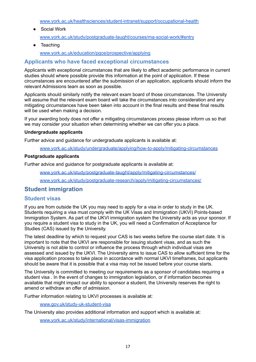[www.york.ac.uk/healthsciences/student-intranet/support/occupational-health](http://www.york.ac.uk/healthsciences/student-intranet/support/occupational-health)

- Social Work [www.york.ac.uk/study/postgraduate-taught/courses/ma-social-work/#entry](http://www.york.ac.uk/study/postgraduate-taught/courses/ma-social-work/#entry)
	- Teaching

[www.york.ac.uk/education/pgce/prospective/applying](http://www.york.ac.uk/education/pgce/prospective/applying)

### <span id="page-16-0"></span>**Applicants who have faced exceptional circumstances**

Applicants with exceptional circumstances that are likely to affect academic performance in current studies should where possible provide this information at the point of application. If these circumstances are encountered after the submission of an application, applicants should inform the relevant Admissions team as soon as possible.

Applicants should similarly notify the relevant exam board of those circumstances. The University will assume that the relevant exam board will take the circumstances into consideration and any mitigating circumstances have been taken into account in the final results and these final results will be used when making a decision.

If your awarding body does not offer a mitigating circumstances process please inform us so that we may consider your situation when determining whether we can offer you a place.

#### **Undergraduate applicants**

Further advice and guidance for undergraduate applicants is available at:

[www.york.ac.uk/study/undergraduate/applying/how-to-apply/mitigating-circumstances](http://www.york.ac.uk/study/undergraduate/applying/how-to-apply/mitigating-circumstances)

#### **Postgraduate applicants**

Further advice and guidance for postgraduate applicants is available at:

[www.york.ac.uk/study/postgraduate-taught/apply/mitigating-circumstances/](http://www.york.ac.uk/study/postgraduate-taught/apply/mitigating-circumstances/)

[www.york.ac.uk/study/postgraduate-research/apply/mitigating-circumstances/](http://www.york.ac.uk/study/postgraduate-research/apply/mitigating-circumstances/)

### <span id="page-16-1"></span>**Student immigration**

### <span id="page-16-2"></span>**Student visas**

If you are from outside the UK you may need to apply for a visa in order to study in the UK. Students requiring a visa must comply with the UK Visas and Immigration (UKVI) Points-based Immigration System. As part of the UKVI immigration system the University acts as your sponsor. If you require a student visa to study in the UK, you will need a Confirmation of Acceptance for Studies (CAS) issued by the University.

The latest deadline by which to request your CAS is two weeks before the course start date. It is important to note that the UKVI are responsible for issuing student visas, and as such the University is not able to control or influence the process through which individual visas are assessed and issued by the UKVI. The University aims to issue CAS to allow sufficient time for the visa application process to take place in accordance with normal UKVI timeframes, but applicants should be aware that it is possible that a visa may not be issued before your course starts.

The University is committed to meeting our requirements as a sponsor of candidates requiring a student visa . In the event of changes to immigration legislation, or if information becomes available that might impact our ability to sponsor a student, the University reserves the right to amend or withdraw an offer of admission.

Further information relating to UKVI processes is available at:

[www.gov.uk/study-uk-student-visa](http://www.gov.uk/study-uk-student-visa)

The University also provides additional information and support which is available at:

[www.york.ac.uk/study/international/visas-immigration](http://www.york.ac.uk/study/international/visas-immigration)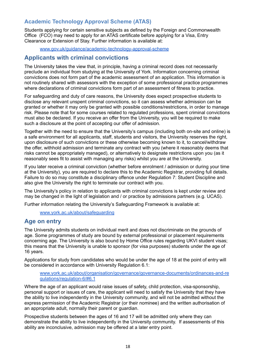### <span id="page-17-0"></span>**Academic Technology Approval Scheme (ATAS)**

Students applying for certain sensitive subjects as defined by the Foreign and Commonwealth Office (FCO) may need to apply for an ATAS certificate before applying for a Visa, Entry Clearance or Extension of Stay. Further information is available at:

[www.gov.uk/guidance/academic-technology-approval-scheme](http://www.gov.uk/guidance/academic-technology-approval-scheme)

### <span id="page-17-1"></span>**Applicants with criminal convictions**

The University takes the view that, in principle, having a criminal record does not necessarily preclude an individual from studying at the University of York. Information concerning criminal convictions does not form part of the academic assessment of an application. This information is not routinely shared with assessors with the exception of some professional practice programmes where declarations of criminal convictions form part of an assessment of fitness to practice.

For safeguarding and duty of care reasons, the University does expect prospective students to disclose any relevant unspent criminal convictions, so it can assess whether admission can be granted or whether it may only be granted with possible conditions/restrictions, in order to manage risk. Please note that for some courses related to regulated professions, spent criminal convictions must also be declared. If you receive an offer from the University, you will be required to make such a disclosure at the point of accepting our offer of admission.

Together with the need to ensure that the University's campus (including both on-site and online) is a safe environment for all applicants, staff, students and visitors, the University reserves the right, upon disclosure of such convictions or these otherwise becoming known to it, to cancel/withdraw the offer, withhold admission and terminate any contract with you (where it reasonably deems that risks cannot be appropriately managed), or alternatively to designate restrictions upon you (as it reasonably sees fit to assist with managing any risks) whilst you are at the University.

If you later receive a criminal conviction (whether before enrolment / admission or during your time at the University), you are required to declare this to the Academic Registrar, providing full details. Failure to do so may constitute a disciplinary offence under Regulation 7: Student Discipline and also give the University the right to terminate our contract with you.

The University's policy in relation to applicants with criminal convictions is kept under review and may be changed in the light of legislation and / or practice by admissions partners (e.g. UCAS).

Further information relating the University's Safeguarding Framework is available at:

[www.york.ac.uk/about/safeguarding](http://www.york.ac.uk/about/safeguarding)

### <span id="page-17-2"></span>**Age on entry**

The University admits students on individual merit and does not discriminate on the grounds of age. Some programmes of study are bound by external professional or placement requirements concerning age. The University is also bound by Home Office rules regarding UKVI student visas; this means that the University is unable to sponsor (for visa purposes) students under the age of 16 years.

Applications for study from candidates who would be under the age of 18 at the point of entry will be considered in accordance with University Regulation 6.1:

[www.york.ac.uk/about/organisation/governance/governance-documents/ordinances-and-re](http://www.york.ac.uk/about/organisation/governance/governance-documents/ordinances-and-regulations/regulation-6/#6.1) [gulations/regulation-6/#6.1](http://www.york.ac.uk/about/organisation/governance/governance-documents/ordinances-and-regulations/regulation-6/#6.1)

Where the age of an applicant would raise issues of safety, child protection, visa-sponsorship, personal support or issues of care, the applicant will need to satisfy the University that they have the ability to live independently in the University community, and will not be admitted without the express permission of the Academic Registrar (or their nominee) and the written authorisation of an appropriate adult, normally their parent or guardian.

Prospective students between the ages of 16 and 17 will be admitted only where they can demonstrate the ability to live independently in the University community. If assessments of this ability are inconclusive, admission may be offered at a later entry point.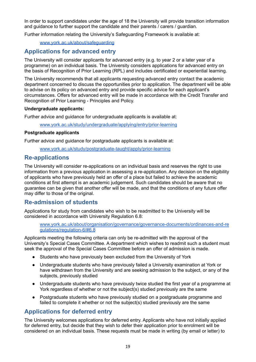In order to support candidates under the age of 18 the University will provide transition information and quidance to further support the candidate and their parents / carers / quardian.

Further information relating the University's Safeguarding Framework is available at:

[www.york.ac.uk/about/safeguarding](http://www.york.ac.uk/about/safeguarding)

### <span id="page-18-0"></span>**Applications for advanced entry**

The University will consider applicants for advanced entry (e.g. to year 2 or a later year of a programme) on an individual basis. The University considers applications for advanced entry on the basis of Recognition of Prior Learning (RPL) and includes certificated or experiential learning.

The University recommends that all applicants requesting advanced entry contact the academic department concerned to discuss the opportunities prior to application. The department will be able to advise on its policy on advanced entry and provide specific advice for each applicant's circumstances. Offers for advanced entry will be made in accordance with the Credit Transfer and Recognition of Prior Learning - Principles and Policy.

#### **Undergraduate applicants:**

Further advice and guidance for undergraduate applicants is available at:

[www.york.ac.uk/study/undergraduate/applying/entry/prior-learning](http://www.york.ac.uk/study/undergraduate/applying/entry/prior-learning)

#### **Postgraduate applicants**

Further advice and guidance for postgraduate applicants is available at:

[www.york.ac.uk/study/postgraduate-taught/apply/prior-learning](http://www.york.ac.uk/study/postgraduate-taught/apply/prior-learning)

### <span id="page-18-1"></span>**Re-applications**

The University will consider re-applications on an individual basis and reserves the right to use information from a previous application in assessing a re-application. Any decision on the eligibility of applicants who have previously held an offer of a place but failed to achieve the academic conditions at first attempt is an academic judgement. Such candidates should be aware that no guarantee can be given that another offer will be made, and that the conditions of any future offer may differ to those of the original.

### <span id="page-18-2"></span>**Re-admission of students**

Applications for study from candidates who wish to be readmitted to the University will be considered in accordance with University Regulation 6.8:

[www.york.ac.uk/about/organisation/governance/governance-documents/ordinances-and-re](http://www.york.ac.uk/about/organisation/governance/governance-documents/ordinances-and-regulations/regulation-6/#6.8) [gulations/regulation-6/#6.8](http://www.york.ac.uk/about/organisation/governance/governance-documents/ordinances-and-regulations/regulation-6/#6.8)

Applicants meeting the following criteria can only be re-admitted with the approval of the University's Special Cases Committee. A department which wishes to readmit such a student must seek the approval of the Special Cases Committee before an offer of admission is made.

- Students who have previously been excluded from the University of York
- Undergraduate students who have previously failed a University examination at York or have withdrawn from the University and are seeking admission to the subject, or any of the subjects, previously studied
- Undergraduate students who have previously twice studied the first year of a programme at York regardless of whether or not the subject(s) studied previously are the same
- Postgraduate students who have previously studied on a postgraduate programme and failed to complete it whether or not the subject(s) studied previously are the same

### <span id="page-18-3"></span>**Applications for deferred entry**

The University welcomes applications for deferred entry. Applicants who have not initially applied for deferred entry, but decide that they wish to defer their application prior to enrolment will be considered on an individual basis. These requests must be made in writing (by email or letter) to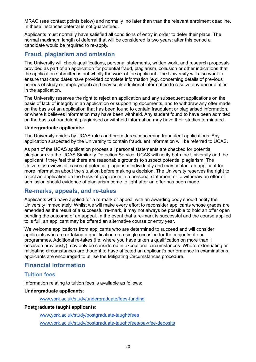MRAO (see contact points below) and normally no later than than the relevant enrolment deadline. In these instances deferral is not guaranteed.

Applicants must normally have satisfied all conditions of entry in order to defer their place. The normal maximum length of deferral that will be considered is two years; after this period a candidate would be required to re-apply.

### <span id="page-19-0"></span>**Fraud, plagiarism and omission**

The University will check qualifications, personal statements, written work, and research proposals provided as part of an application for potential fraud, plagiarism, collusion or other indications that the application submitted is not wholly the work of the applicant. The University will also want to ensure that candidates have provided complete information (e.g. concerning details of previous periods of study or employment) and may seek additional information to resolve any uncertainties in the application.

The University reserves the right to reject an application and any subsequent applications on the basis of lack of integrity in an application or supporting documents, and to withdraw any offer made on the basis of an application that has been found to contain fraudulent or plagiarised information, or where it believes information may have been withheld. Any student found to have been admitted on the basis of fraudulent, plagiarised or withheld information may have their studies terminated.

#### **Undergraduate applicants:**

The University abides by UCAS rules and procedures concerning fraudulent applications. Any application suspected by the University to contain fraudulent information will be referred to UCAS.

As part of the UCAS application process all personal statements are checked for potential plagiarism via the UCAS Similarity Detection Service. UCAS will notify both the University and the applicant if they feel that there are reasonable grounds to suspect potential plagiarism. The University reviews all cases of potential plagiarism individually and may contact an applicant for more information about the situation before making a decision. The University reserves the right to reject an application on the basis of plagiarism in a personal statement or to withdraw an offer of admission should evidence of plagiarism come to light after an offer has been made.

### <span id="page-19-1"></span>**Re-marks, appeals, and re-takes**

Applicants who have applied for a re-mark or appeal with an awarding body should notify the University immediately. Whilst we will make every effort to reconsider applicants whose grades are amended as the result of a successful re-mark, it may not always be possible to hold an offer open pending the outcome of an appeal. In the event that a re-mark is successful and the course applied to is full, an applicant may be offered an alternative course or entry year.

We welcome applications from applicants who are determined to succeed and will consider applicants who are re-taking a qualification on a single occasion for the majority of our programmes. Additional re-takes (i.e. where you have taken a qualification on more than 1 occasion previously) may only be considered in exceptional circumstances. Where extenuating or mitigating circumstances are thought to have affected an applicant's performance in examinations, applicants are encouraged to utilise the Mitigating Circumstances procedure.

### <span id="page-19-2"></span>**Financial information**

### <span id="page-19-3"></span>**Tuition fees**

Information relating to tuition fees is available as follows:

#### **Undergraduate applicants**:

#### [www.york.ac.uk/study/undergraduate/fees-funding](http://www.york.ac.uk/study/undergraduate/fees-funding)

#### **Postgraduate taught applicants:**

[www.york.ac.uk/study/postgraduate-taught/fees](http://www.york.ac.uk/study/postgraduate-taught/fees) [www.york.ac.uk/study/postgraduate-taught/fees/pay/fee-deposits](http://www.york.ac.uk/study/postgraduate-taught/fees/pay/fee-deposits)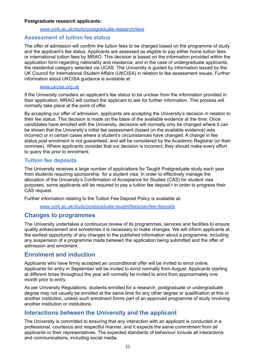#### **Postgraduate research applicants:**

#### [www.york.ac.uk/study/postgraduate-research/fees](http://www.york.ac.uk/study/postgraduate-research/fees)

#### <span id="page-20-0"></span>**Assessment of tuition fee status**

The offer of admission will confirm the tuition fees to be charged based on the programme of study and the applicant's fee status. Applicants are assessed as eligible to pay either home tuition fees or international tuition fees by MRAO. This decision is based on the information provided within the application form regarding nationality and residence, and in the case of undergraduate applicants, the residential category selected via UCAS. The University is guided by information issued by the UK Council for International Student Affairs (UKCISA) in relation to fee assessment issues. Further information about UKCISA guidance is available at:

#### [www.ukcisa.org.uk](http://www.ukcisa.org.uk)

If the University considers an applicant's fee status to be unclear from the information provided in their application, MRAO will contact the applicant to ask for further information. This process will normally take place at the point of offer.

By accepting our offer of admission, applicants are accepting the University's decision in relation to their fee status. This decision is made on the basis of the available evidence at the time. Once candidates have enrolled with the University, decisions will normally only be changed where it can be shown that the University's initial fee assessment (based on the available evidence) was incorrect or in certain cases where a student's circumstances have changed. A change in fee status post enrolment is not guaranteed, and will be considered by the Academic Registrar (or their nominee). Where applicants consider that our decision is incorrect, they should make every effort to query this prior to enrolment.

### <span id="page-20-1"></span>**Tuition fee deposits**

The University receives a large number of applications for Taught Postgraduate study each year from students requiring sponsorship for a student visa. In order to effectively manage the allocation of the University's Confirmation of Acceptance for Studies (CAS) for student visa purposes, some applicants will be required to pay a tuition fee deposit r in order to progress their CAS request.

Further information relating to the Tuition Fee Deposit Policy is available at:

[www.york.ac.uk/study/postgraduate-taught/fees/pay/fee-deposits](http://www.york.ac.uk/study/postgraduate-taught/fees/pay/fee-deposits)

#### <span id="page-20-2"></span>**Changes to programmes**

The University undertakes a continuous review of its programmes, services and facilities to ensure quality enhancement and sometimes it is necessary to make changes. We will inform applicants at the earliest opportunity of any changes to the published information about a programme, including any suspension of a programme made between the application being submitted and the offer of admission and enrolment.

### <span id="page-20-3"></span>**Enrolment and induction**

Applicants who have firmly accepted an unconditional offer will be invited to enrol online. Applicants for entry in September will be invited to enrol normally from August. Applicants starting at different times throughout the year will normally be invited to enrol from approximately one month prior to entry.

As per University Regulations, students enrolled for a research, postgraduate or undergraduate degree may not usually be enrolled at the same time for any other degree or qualification at this or another institution, unless such enrolment forms part of an approved programme of study involving another institution or institutions.

### <span id="page-20-4"></span>**Interactions between the University and the applicant**

The University is committed to ensuring that any interaction with an applicant is conducted in a professional, courteous and respectful manner, and it expects the same commitment from all applicants or their representatives. The expected standards of behaviour include all interactions and communications, including social media.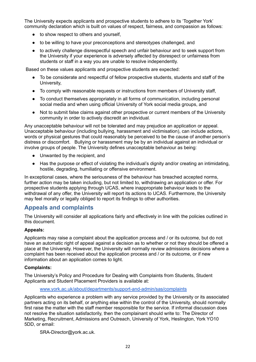The University expects applicants and prospective students to adhere to its 'Together York' community declaration which is built on values of respect, fairness, and compassion as follows:

- to show respect to others and yourself,
- to be willing to have your preconceptions and stereotypes challenged, and
- to actively challenge disrespectful speech and unfair behaviour and to seek support from the University if your experience is adversely affected by disrespect or unfairness from students or staff in a way you are unable to resolve independently.

Based on these values applicants and prospective students are expected:

- To be considerate and respectful of fellow prospective students, students and staff of the University,
- To comply with reasonable requests or instructions from members of University staff,
- To conduct themselves appropriately in all forms of communication, including personal social media and when using official University of York social media groups, and
- Not to submit false claims against other prospective or current members of the University community in order to actively discredit an individual.

Any unacceptable behaviour will not be tolerated and may prejudice an application or appeal. Unacceptable behaviour (including bullying, harassment and victimisation), can include actions, words or physical gestures that could reasonably be perceived to be the cause of another person's distress or discomfort. Bullying or harassment may be by an individual against an individual or involve groups of people. The University defines unacceptable behaviour as being:

- Unwanted by the recipient, and
- Has the purpose or effect of violating the individual's dignity and/or creating an intimidating, hostile, degrading, humiliating or offensive environment.

In exceptional cases, where the seriousness of the behaviour has breached accepted norms, further action may be taken including, but not limited to, withdrawing an application or offer. For prospective students applying through UCAS, where inappropriate behaviour leads to the withdrawal of any offer, the University will report its actions to UCAS. Furthermore, the University may feel morally or legally obliged to report its findings to other authorities.

### <span id="page-21-0"></span>**Appeals and complaints**

The University will consider all applications fairly and effectively in line with the policies outlined in this document.

#### **Appeals:**

Applicants may raise a complaint about the application process and / or its outcome, but do not have an automatic right of appeal against a decision as to whether or not they should be offered a place at the University. However, the University will normally review admissions decisions where a complaint has been received about the application process and / or its outcome, or if new information about an application comes to light.

#### **Complaints:**

The University's Policy and Procedure for Dealing with Complaints from Students, Student Applicants and Student Placement Providers is available at:

[www.york.ac.uk/about/departments/support-and-admin/sas/complaints](http://www.york.ac.uk/about/departments/support-and-admin/sas/complaints)

Applicants who experience a problem with any service provided by the University or its associated partners acting on its behalf, or anything else within the control of the University, should normally first raise the matter with the staff member responsible for the service. If informal discussion does not resolve the situation satisfactorily, then the complainant should write to: The Director of Marketing, Recruitment, Admissions and Outreach, University of York, Heslington, York YO10 5DD, or email:

SRA-Director@york.ac.uk.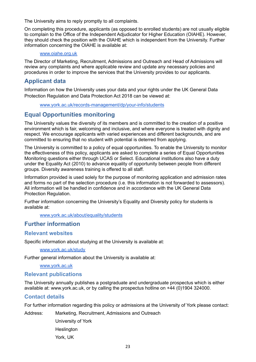The University aims to reply promptly to all complaints.

On completing this procedure, applicants (as opposed to enrolled students) are not usually eligible to complain to the Office of the Independent Adjudicator for Higher Education (OIAHE). However, they should check the position with the OIAHE which is independent from the University. Further information concerning the OIAHE is available at:

#### [www.oiahe.org.uk](http://www.oiahe.org.uk)

The Director of Marketing, Recruitment, Admissions and Outreach and Head of Admissions will review any complaints and where applicable review and update any necessary policies and procedures in order to improve the services that the University provides to our applicants.

### <span id="page-22-0"></span>**Applicant data**

Information on how the University uses your data and your rights under the UK General Data Protection Regulation and Data Protection Act 2018 can be viewed at:

[www.york.ac.uk/records-management/dp/your-info/students](http://www.york.ac.uk/records-management/dp/your-info/students)

### <span id="page-22-1"></span>**Equal Opportunities monitoring**

The University values the diversity of its members and is committed to the creation of a positive environment which is fair, welcoming and inclusive, and where everyone is treated with dignity and respect. We encourage applicants with varied experiences and different backgrounds, and are committed to ensuring that no student with potential is deterred from applying.

The University is committed to a policy of equal opportunities. To enable the University to monitor the effectiveness of this policy, applicants are asked to complete a series of Equal Opportunities Monitoring questions either through UCAS or Select. Educational institutions also have a duty under the Equality Act (2010) to advance equality of opportunity between people from different groups. Diversity awareness training is offered to all staff.

Information provided is used solely for the purpose of monitoring application and admission rates and forms no part of the selection procedure (i.e. this information is not forwarded to assessors). All information will be handled in confidence and in accordance with the UK General Data Protection Regulation.

Further information concerning the University's Equality and Diversity policy for students is available at:

[www.york.ac.uk/about/equality/students](http://www.york.ac.uk/about/equality/students)

### <span id="page-22-2"></span>**Further information**

### <span id="page-22-3"></span>**Relevant websites**

Specific information about studying at the University is available at:

[www.york.ac.uk/study](http://www.york.ac.uk/study)

Further general information about the University is available at:

[www.york.ac.uk](http://www.york.ac.uk)

### <span id="page-22-4"></span>**Relevant publications**

The University annually publishes a postgraduate and undergraduate prospectus which is either available at: www.york.ac.uk, or by calling the prospectus hotline on +44 (0)1904 324000.

### <span id="page-22-5"></span>**Contact details**

For further information regarding this policy or admissions at the University of York please contact:

Address: Marketing, Recruitment, Admissions and Outreach

University of York **Heslington** York, UK